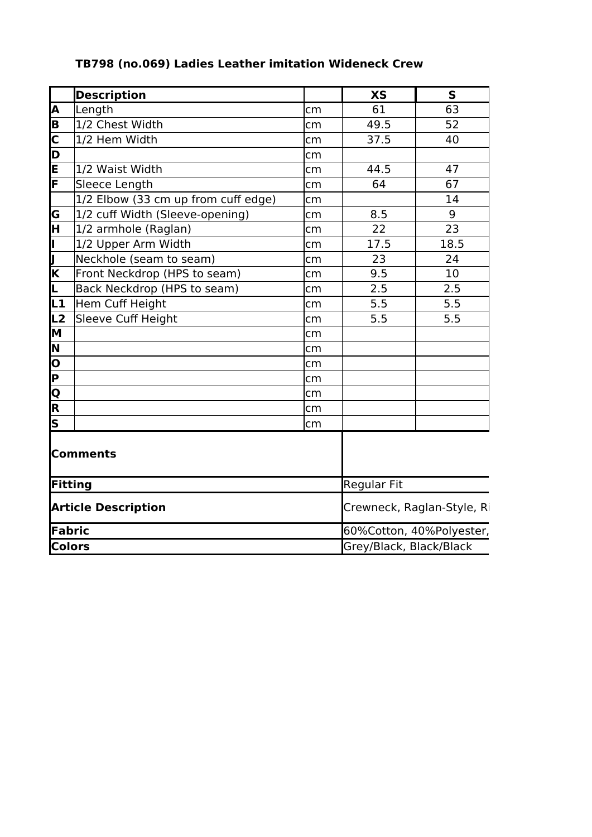|  | TB798 (no.069) Ladies Leather imitation Wideneck Crew |  |
|--|-------------------------------------------------------|--|
|--|-------------------------------------------------------|--|

|                                     | <b>Description</b>                      |                            | <b>XS</b>                | ${\sf s}$ |
|-------------------------------------|-----------------------------------------|----------------------------|--------------------------|-----------|
| A                                   | Length                                  | cm                         | 61                       | 63        |
| E                                   | 1/2 Chest Width                         | cm                         | 49.5                     | 52        |
| $\frac{\overline{C}}{\overline{D}}$ | 1/2 Hem Width                           | cm                         | 37.5                     | 40        |
|                                     |                                         | cm                         |                          |           |
| E                                   | 1/2 Waist Width                         | cm                         | 44.5                     | 47        |
| F                                   | Sleece Length                           | cm                         | 64                       | 67        |
|                                     | $ 1/2 $ Elbow (33 cm up from cuff edge) | cm                         |                          | 14        |
| G                                   | 1/2 cuff Width (Sleeve-opening)         | cm                         | 8.5                      | 9         |
| ਸ਼ਿ                                 | $1/2$ armhole (Raglan)                  | cm                         | 22                       | 23        |
| Þ                                   | 1/2 Upper Arm Width                     | cm                         | 17.5                     | 18.5      |
| II                                  | Neckhole (seam to seam)                 | cm                         | 23                       | 24        |
| $\overline{\mathbf{K}}$             | Front Neckdrop (HPS to seam)            | cm                         | 9.5                      | 10        |
| Ŀ                                   | Back Neckdrop (HPS to seam)             | cm                         | 2.5                      | 2.5       |
| և1                                  | Hem Cuff Height                         | cm                         | 5.5                      | 5.5       |
| L <sub>2</sub>                      | Sleeve Cuff Height                      | cm                         | 5.5                      | 5.5       |
| M                                   |                                         | cm                         |                          |           |
| N                                   |                                         | cm                         |                          |           |
| o                                   |                                         | cm                         |                          |           |
| $\overline{\mathsf{P}}$             |                                         | cm                         |                          |           |
| Q                                   |                                         | cm                         |                          |           |
| $\overline{\mathbf{R}}$             |                                         | cm                         |                          |           |
| $\overline{\mathsf{s}}$             |                                         | cm                         |                          |           |
|                                     | <b>Comments</b>                         |                            |                          |           |
| Fitting                             |                                         | Regular Fit                |                          |           |
| <b>Article Description</b>          |                                         | Crewneck, Raglan-Style, Ri |                          |           |
| Fabric                              |                                         |                            | 60%Cotton, 40%Polyester, |           |
| <b>Colors</b>                       |                                         | Grey/Black, Black/Black    |                          |           |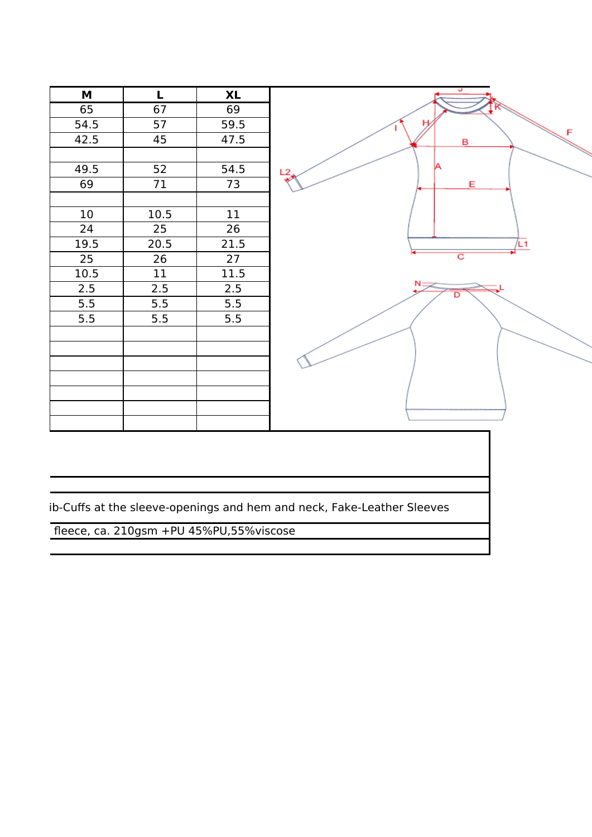

ib-Cuffs at the sleeve-openings and hem and neck, Fake-Leather Sleeves

fleece, ca. 210gsm +PU 45%PU,55%viscose